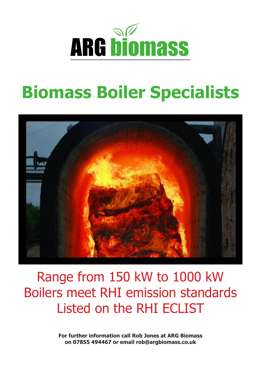

## **Biomass Boiler Specialists**



Range from 150 kW to 1000 kW Boilers meet RHI emission standards Listed on the RHI ECLIST

> **For further information call Rob Jones at ARG Biomass on 07855 494467 or email rob@argbiomass.co.uk**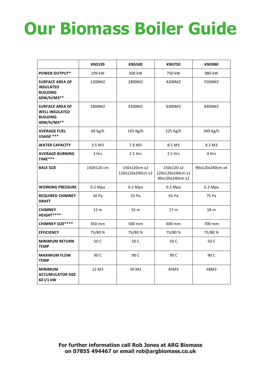## **Our Biomass Boiler Guide**

|                                                                                  | <b>KNS199</b>     | <b>KNS500</b>                    | <b>KNS750</b>                                     | <b>KNS980</b>   |  |
|----------------------------------------------------------------------------------|-------------------|----------------------------------|---------------------------------------------------|-----------------|--|
| <b>POWER OUTPUT*</b>                                                             | 199 kW            | 500 kW                           | 750 kW                                            | 980 kW          |  |
| <b>SURFACE AREA OF</b><br><b>INSULATED</b><br><b>BUILDING</b><br>60W/H/M3**      | 1200M2            | 2800M2                           | 4200M2                                            | 5500M2          |  |
| <b>SURFACE AREA OF</b><br><b>WELL INSULATED</b><br><b>BUILDING</b><br>40W/H/M3** | 1800M2            | 4200M2                           | 6300M2                                            | 8300M2          |  |
| <b>AVERAGE FUEL</b><br>USAGE ***                                                 | 60 kg/h           | 165 Kg/h                         | 225 Kg/h                                          | 340 Kg/h        |  |
| <b>WATER CAPACITY</b>                                                            | 3.5 <sub>M3</sub> | 7.8 M3                           | 8.5 M3                                            | 9.3 M3          |  |
| <b>AVERAGE BURNING</b><br>TIME***                                                | 3 Hrs             | 2.5 Hrs                          | 2.5 Hrs                                           | 4 Hrs           |  |
| <b>BALE SIZE</b>                                                                 | 150X120 cm        | 150x120cm x2<br>120x120x240cm x1 | 150x120 x2<br>120x120x240cm x1<br>90x120x240cm x2 | 90x120x240cm x4 |  |
| <b>WORKING PRESSURE</b>                                                          | $0.2$ Mpa         | $0.2$ Mpa                        | $0.2$ Mpa                                         | $0.2$ Mpa       |  |
| <b>REQUIRED CHIMNEY</b><br><b>DRAFT</b>                                          | 50 Pa             | 55 Pa                            | 65 Pa                                             | 75 Pa           |  |
| <b>CHIMNEY</b><br>HEIGHT****                                                     | 12 <sub>m</sub>   | 16 <sub>m</sub>                  | 17 <sub>m</sub><br>18 <sub>m</sub>                |                 |  |
| <b>CHIMNEY SIZE****</b>                                                          | 350 mm            | 500 mm                           | 600 mm                                            | 700 mm          |  |
| <b>EFFICIENCY</b>                                                                | 75/80 %           | 75/80 %                          | 75/80%                                            | 75/80%          |  |
| <b>MINIMUM RETURN</b><br><b>TEMP</b>                                             | 50 C              | 50 C                             | 50 C                                              | 50 C            |  |
| <b>MAXIMUM FLOW</b><br><b>TEMP</b>                                               | 90 C              | 90 C                             | 90 C                                              | 90 C            |  |
| <b>MINIMUM</b><br><b>ACCUMULATOR SIZE</b><br>60 l/1 kW                           | 12 M3             | 30 M3                            | 45M3                                              | 58M3            |  |